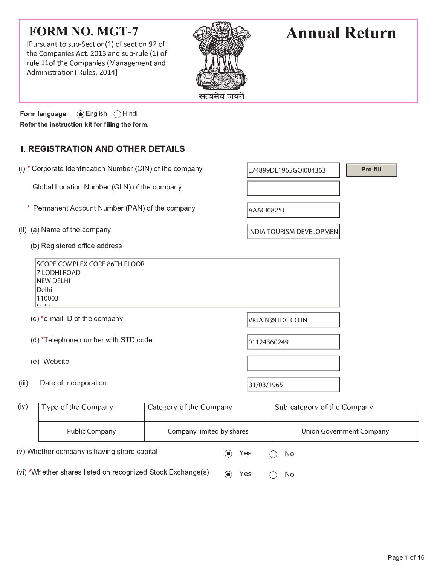# **FORM NO. MGT-7**

  ! " # \$ %  & rule 11of the Companies (Management an ! %  ) &  " # \* <sup>+</sup>



# **Annual Return**

 $\mathcal{L}$  and  $\mathcal{L}$  and  $\mathcal{L}$  and  $\mathcal{L}$  and  $\mathcal{L}$  and  $\mathcal{L}$  and  $\mathcal{L}$ Form language Refer the instruction kit for filing the form.

(v) Whether company is having share capital

(vi) \*Whether shares listed on recognized Stock Exchange(s)

## **I. REGISTRATION AND OTHER DETAILS**

|       | (i) * Corporate Identification Number (CIN) of the company                                              |                           |             | Pre-fill<br>L74899DL1965GOI004363 |                                 |  |  |  |
|-------|---------------------------------------------------------------------------------------------------------|---------------------------|-------------|-----------------------------------|---------------------------------|--|--|--|
|       | Global Location Number (GLN) of the company                                                             |                           |             |                                   |                                 |  |  |  |
| *     | Permanent Account Number (PAN) of the company                                                           |                           | AAACI0825J  |                                   |                                 |  |  |  |
|       | (ii) (a) Name of the company                                                                            |                           |             | INDIA TOURISM DEVELOPMEN          |                                 |  |  |  |
|       | (b) Registered office address                                                                           |                           |             |                                   |                                 |  |  |  |
|       | <b>SCOPE COMPLEX CORE 86TH FLOOR</b><br>7 LODHI ROAD<br><b>NEW DELHI</b><br>Delhi<br>110003<br>the alta |                           |             |                                   |                                 |  |  |  |
|       | (c) *e-mail ID of the company                                                                           |                           |             | VKJAIN@ITDC.CO.IN                 |                                 |  |  |  |
|       | (d) *Telephone number with STD code                                                                     |                           | 01124360249 |                                   |                                 |  |  |  |
|       | (e) Website                                                                                             |                           |             |                                   |                                 |  |  |  |
| (iii) | Date of Incorporation                                                                                   |                           | 31/03/1965  |                                   |                                 |  |  |  |
| (iv)  | Type of the Company                                                                                     | Category of the Company   |             | Sub-category of the Company       |                                 |  |  |  |
|       | <b>Public Company</b>                                                                                   | Company limited by shares |             |                                   | <b>Union Government Company</b> |  |  |  |

 $\odot$  Yes

 $\odot$  Yes

No.

 $\bigcirc$ 

 $\bigcirc$ 

- No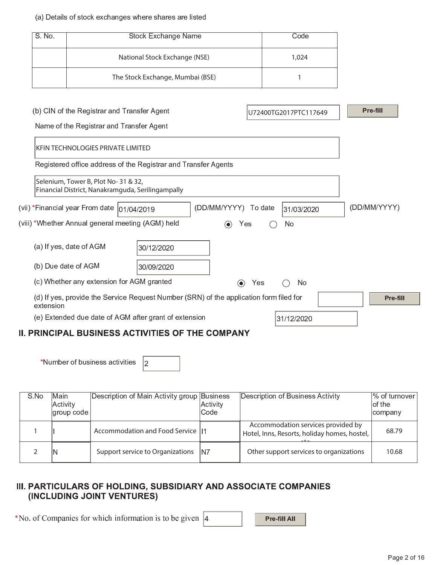#### (a) Details of stock exchanges where shares are listed

| $S$ . No.                                                                                           | <b>Stock Exchange Name</b>                                                                |                                  |                                 | Code |                       |              |
|-----------------------------------------------------------------------------------------------------|-------------------------------------------------------------------------------------------|----------------------------------|---------------------------------|------|-----------------------|--------------|
|                                                                                                     |                                                                                           | National Stock Exchange (NSE)    |                                 |      | 1,024                 |              |
|                                                                                                     |                                                                                           | The Stock Exchange, Mumbai (BSE) |                                 |      | 1                     |              |
|                                                                                                     |                                                                                           |                                  |                                 |      |                       |              |
|                                                                                                     | (b) CIN of the Registrar and Transfer Agent                                               |                                  |                                 |      | U72400TG2017PTC117649 | Pre-fill     |
|                                                                                                     | Name of the Registrar and Transfer Agent                                                  |                                  |                                 |      |                       |              |
|                                                                                                     | <b>KFIN TECHNOLOGIES PRIVATE LIMITED</b>                                                  |                                  |                                 |      |                       |              |
|                                                                                                     | Registered office address of the Registrar and Transfer Agents                            |                                  |                                 |      |                       |              |
|                                                                                                     | Selenium, Tower B, Plot No- 31 & 32,<br>Financial District, Nanakramguda, Serilingampally |                                  |                                 |      |                       |              |
|                                                                                                     | (vii) *Financial year From date                                                           | 01/04/2019                       | (DD/MM/YYYY) To date            |      | 31/03/2020            | (DD/MM/YYYY) |
|                                                                                                     | (viii) *Whether Annual general meeting (AGM) held                                         |                                  | Yes<br>$\left( \bullet \right)$ |      | No                    |              |
|                                                                                                     | (a) If yes, date of AGM                                                                   | 30/12/2020                       |                                 |      |                       |              |
|                                                                                                     | (b) Due date of AGM                                                                       | 30/09/2020                       |                                 |      |                       |              |
| (c) Whether any extension for AGM granted<br>No<br>Yes<br>$\odot$                                   |                                                                                           |                                  |                                 |      |                       |              |
| (d) If yes, provide the Service Request Number (SRN) of the application form filed for<br>extension |                                                                                           |                                  |                                 |      |                       |              |
|                                                                                                     | (e) Extended due date of AGM after grant of extension                                     |                                  |                                 |      | 31/12/2020            |              |
|                                                                                                     | <b>II. PRINCIPAL BUSINESS ACTIVITIES OF THE COMPANY</b>                                   |                                  |                                 |      |                       |              |

\*Number of business activities  $|2|$ 

| S No | Main       | Description of Main Activity group Business |          | Description of Business Activity                                                   | ∣% of turnover ∣ |
|------|------------|---------------------------------------------|----------|------------------------------------------------------------------------------------|------------------|
|      | Activity   |                                             | Activity |                                                                                    | of the           |
|      | group code |                                             | Code     |                                                                                    | company          |
|      |            | Accommodation and Food Service   1          |          | Accommodation services provided by<br>Hotel, Inns, Resorts, holiday homes, hostel, | 68.79            |
|      | IN         | Support service to Organizations            | IN7      | Other support services to organizations                                            | 10.68            |

### III. PARTICULARS OF HOLDING, SUBSIDIARY AND ASSOCIATE COMPANIES (INCLUDING JOINT VENTURES)

m n n n m r k s o m v r s o m v r s o m v r s o m v r s o m v r s o m v r s o m v r s o m v r s o m v r s o m

Pre-fill All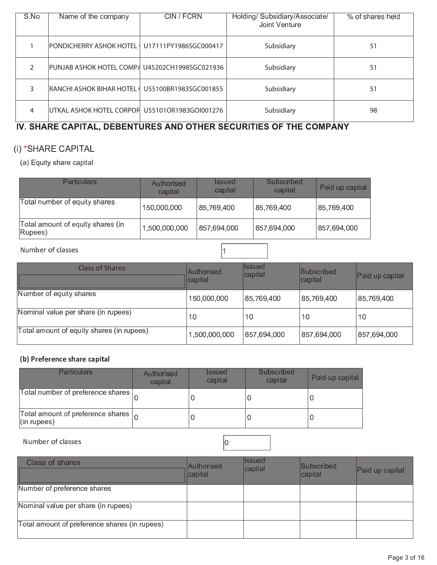| S.No | Name of the company                             | CIN / FCRN            | Holding/ Subsidiary/Associate/<br>Joint Venture | % of shares held |
|------|-------------------------------------------------|-----------------------|-------------------------------------------------|------------------|
|      | PONDICHERRY ASHOK HOTEL   U17111PY1986SGC000417 |                       | Subsidiary                                      | 51               |
|      | PUNJAB ASHOK HOTEL COMP/ U45202CH1998SGC021936  |                       | Subsidiary                                      | 51               |
|      | IRANCHI ASHOK BIHAR HOTEL                       | U55100BR1983SGC001855 | Subsidiary                                      | 51               |
| 4    | UTKAL ASHOK HOTEL CORPOF U55101OR1983GOI001276  |                       | Subsidiary                                      | 98               |

### IV. SHARE CAPITAL, DEBENTURES AND OTHER SECURITIES OF THE COMPANY

### (i) \*SHARE CAPITAL

(a) Equity share capital

| <b>Particulars</b>                           | Authorised<br>capital | <i><b>Issued</b></i><br>capital | Subscribed<br>capital | Paid up capital |
|----------------------------------------------|-----------------------|---------------------------------|-----------------------|-----------------|
| Total number of equity shares                | 150,000,000           | 85,769,400                      | 85,769,400            | 85,769,400      |
| Total amount of equity shares (in<br>(Rupees | 1,500,000,000         | 857,694,000                     | 857,694,000           | 857,694,000     |

#### Number of classes

| Class of Shares                           | Authorised<br>capital | <b>Issued</b><br>capital | Subscribed<br> capital | Paid up capital |
|-------------------------------------------|-----------------------|--------------------------|------------------------|-----------------|
| Number of equity shares                   | 150,000,000           | 85,769,400               | 85,769,400             | 85,769,400      |
| Nominal value per share (in rupees)       | 10                    | 10                       | 10                     | 10              |
| Total amount of equity shares (in rupees) | 1,500,000,000         | 857,694,000              | 857,694,000            | 857,694,000     |

 $\vert$ 1

### (b) Preference share capital

| <b>Particulars</b>                                                    | Authorised<br>capital | <i><b>Issued</b></i><br>capital | Subscribed<br>capital | Paid-up capital |
|-----------------------------------------------------------------------|-----------------------|---------------------------------|-----------------------|-----------------|
| Total number of preference shares $\mid$                              |                       |                                 |                       |                 |
| Total amount of preference shares $\vert_{\Omega}$<br>$ $ (in rupees) |                       |                                 |                       |                 |

Number of classes

| Class of shares                               | <b>Authorised</b><br>capital | <b>Issued</b><br>capital | <b>Subscribed</b><br>$ $ capital | Paid up capital |
|-----------------------------------------------|------------------------------|--------------------------|----------------------------------|-----------------|
| Number of preference shares                   |                              |                          |                                  |                 |
| Nominal value per share (in rupees)           |                              |                          |                                  |                 |
| Total amount of preference shares (in rupees) |                              |                          |                                  |                 |

 $|0\rangle$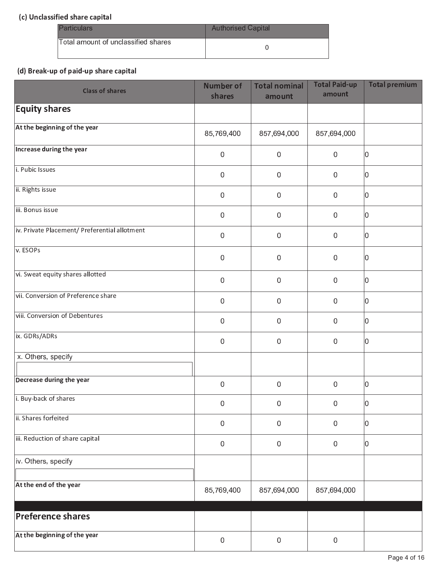### (c) Unclassified share capital

| <b>Particulars</b>                  | <b>Authorised Capital</b> |
|-------------------------------------|---------------------------|
| Total amount of unclassified shares |                           |

### (d) Break-up of paid-up share capital

| <b>Class of shares</b>                        | <b>Number of</b><br>shares | <b>Total nominal</b><br>amount | <b>Total Paid-up</b><br>amount | <b>Total premium</b> |
|-----------------------------------------------|----------------------------|--------------------------------|--------------------------------|----------------------|
| <b>Equity shares</b>                          |                            |                                |                                |                      |
| At the beginning of the year                  | 85,769,400                 | 857,694,000                    | 857,694,000                    |                      |
| Increase during the year                      | $\mathbf 0$                | $\mathbf 0$                    | $\boldsymbol{0}$               | 0                    |
| i. Pubic Issues                               | $\mathbf 0$                | $\mathbf 0$                    | $\mathbf 0$                    | 0                    |
| ii. Rights issue                              | $\mathbf 0$                | 0                              | $\boldsymbol{0}$               | 10                   |
| iii. Bonus issue                              | $\mathbf 0$                | 0                              | $\boldsymbol{0}$               | 0                    |
| iv. Private Placement/ Preferential allotment | $\mathbf 0$                | $\boldsymbol{0}$               | $\boldsymbol{0}$               | 10                   |
| v. ESOPs                                      | $\mathbf 0$                | $\mathbf 0$                    | $\mathbf 0$                    | 0                    |
| vi. Sweat equity shares allotted              | $\mathbf 0$                | $\boldsymbol{0}$               | $\boldsymbol{0}$               | 10                   |
| vii. Conversion of Preference share           | $\mathbf 0$                | 0                              | $\boldsymbol{0}$               | 0                    |
| viii. Conversion of Debentures                | $\mathbf 0$                | $\mathbf 0$                    | $\boldsymbol{0}$               | 10                   |
| ix. GDRs/ADRs                                 | $\mathbf 0$                | $\mathbf 0$                    | $\boldsymbol{0}$               | 10                   |
| x Others, specify                             |                            |                                |                                |                      |
| Decrease during the year                      | $\mathbf 0$                | $\mathbf 0$                    | $\boldsymbol{0}$               | 0                    |
| i. Buy-back of shares                         | $\mathbf 0$                | 0                              | 0                              | 10                   |
| ii. Shares forfeited                          | $\mathbf 0$                | 0                              | $\boldsymbol{0}$               | 10                   |
| iii. Reduction of share capital               | $\,0\,$                    | 0                              | $\boldsymbol{0}$               | 10                   |
| iv Others, specify                            |                            |                                |                                |                      |
| At the end of the year                        | 85,769,400                 | 857,694,000                    | 857,694,000                    |                      |
| Preference shares                             |                            |                                |                                |                      |
| At the beginning of the year                  | $\,0\,$                    | 0                              | $\boldsymbol{0}$               |                      |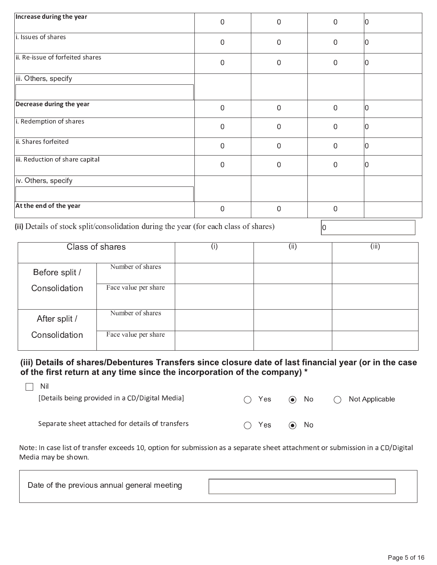| Increase during the year         | 0           | $\mathbf 0$ | 0           | 10 |
|----------------------------------|-------------|-------------|-------------|----|
| i. Issues of shares              | 0           | $\Omega$    | $\Omega$    | ١O |
| ii. Re-issue of forfeited shares | $\mathbf 0$ | $\mathbf 0$ | 0           | ۱N |
| iii. Others, specify             |             |             |             |    |
| Decrease during the year         | 0           | $\mathbf 0$ | $\mathbf 0$ | ۱N |
| i. Redemption of shares          | $\mathbf 0$ | $\mathbf 0$ | $\mathbf 0$ | 10 |
| ii. Shares forfeited             | 0           | $\mathbf 0$ | 0           | ۱n |
| iii. Reduction of share capital  | 0           | $\mathbf 0$ | $\Omega$    | 10 |
| iv. Others, specify              |             |             |             |    |
| At the end of the year           | 0           | $\mathbf 0$ | $\Omega$    |    |

(ii) Details of stock split/consolidation during the year (for each class of shares)

 $|0\rangle$ 

| Class of shares |                      | (i) | (iii) | (iii) |
|-----------------|----------------------|-----|-------|-------|
|                 |                      |     |       |       |
| Before split /  | Number of shares     |     |       |       |
| Consolidation   | Face value per share |     |       |       |
| After split /   | Number of shares     |     |       |       |
| Consolidation   | Face value per share |     |       |       |

(iii) Details of shares/Debentures Transfers since closure date of last financial year (or in the case of the first return at any time since the incorporation of the company) \*

| – Nil                                            |               |     |            |  |                          |
|--------------------------------------------------|---------------|-----|------------|--|--------------------------|
| [Details being provided in a CD/Digital Media]   | $\bigcap$ Yes |     | $\odot$ No |  | $\bigcap$ Not Applicable |
|                                                  |               |     |            |  |                          |
|                                                  |               |     |            |  |                          |
| Separate sheet attached for details of transfers | $($ )         | Yes | $\odot$ No |  |                          |

Note: In case list of transfer exceeds 10, option for submission as a separate sheet attachment or submission in a CD/Digital Media may be shown.

| Date of the previous annual general meeting |  |
|---------------------------------------------|--|
|                                             |  |

٦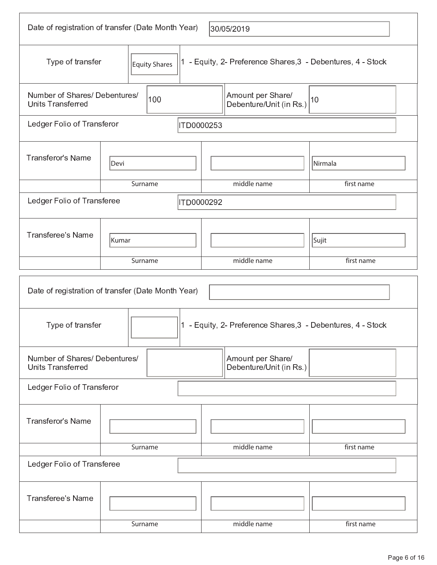| Date of registration of transfer (Date Month Year)<br>30/05/2019                                                  |               |            |                                                             |            |  |
|-------------------------------------------------------------------------------------------------------------------|---------------|------------|-------------------------------------------------------------|------------|--|
| Type of transfer                                                                                                  | Equity Shares |            | 1 - Equity, 2- Preference Shares, 3 - Debentures, 4 - Stock |            |  |
| Number of Shares/ Debentures/<br><b>Units Transferred</b>                                                         | 100           |            | Amount per Share/<br>Debenture/Unit (in Rs.)                | 10         |  |
| Ledger Folio of Transferor                                                                                        |               | ITD0000253 |                                                             |            |  |
| <b>Transferor's Name</b>                                                                                          | Devi          |            |                                                             | Nirmala    |  |
|                                                                                                                   | Surname       |            | middle name                                                 | first name |  |
| Ledger Folio of Transferee<br>ITD0000292                                                                          |               |            |                                                             |            |  |
| <b>Transferee's Name</b><br>Kumar                                                                                 |               |            |                                                             | Sujit      |  |
|                                                                                                                   | Surname       |            | middle name                                                 | first name |  |
| Date of registration of transfer (Date Month Year)<br>1 - Equity, 2- Preference Shares, 3 - Debentures, 4 - Stock |               |            |                                                             |            |  |
| Type of transfer                                                                                                  |               |            |                                                             |            |  |
|                                                                                                                   |               |            |                                                             |            |  |
| Number of Shares/ Debentures/<br><b>Units Transferred</b>                                                         |               |            | Amount per Share/<br>Debenture/Unit (in Rs.)                |            |  |
| Ledger Folio of Transferor                                                                                        |               |            |                                                             |            |  |
| <b>Transferor's Name</b>                                                                                          |               |            |                                                             |            |  |
|                                                                                                                   | Surname       |            | middle name                                                 | first name |  |
| Ledger Folio of Transferee                                                                                        |               |            |                                                             |            |  |
| <b>Transferee's Name</b>                                                                                          | Surname       |            | middle name                                                 | first name |  |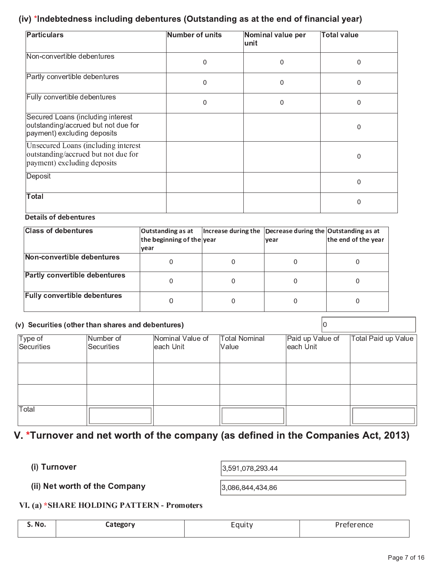### (iv) \*Indebtedness including debentures (Outstanding as at the end of financial year)

| <b>Particulars</b>                                                                                        | Number of units | Nominal value per<br>unit | <b>Total value</b> |
|-----------------------------------------------------------------------------------------------------------|-----------------|---------------------------|--------------------|
| Non-convertible debentures                                                                                | 0               | $\mathbf 0$               | 0                  |
| Partly convertible debentures                                                                             | 0               | $\Omega$                  | $\Omega$           |
| Fully convertible debentures                                                                              | 0               | $\mathbf{0}$              | $\Omega$           |
| Secured Loans (including interest<br>outstanding/accrued but not due for<br>payment) excluding deposits   |                 |                           | $\Omega$           |
| Unsecured Loans (including interest<br>outstanding/accrued but not due for<br>payment) excluding deposits |                 |                           | 0                  |
| Deposit                                                                                                   |                 |                           | $\Omega$           |
| Total                                                                                                     |                 |                           |                    |

#### **Details of debentures**

| <b>Class of debentures</b>           | Outstanding as at<br>the beginning of the year<br>year | Increase during the $\vert$ Decrease during the Outstanding as at<br> vear | the end of the year |
|--------------------------------------|--------------------------------------------------------|----------------------------------------------------------------------------|---------------------|
| Non-convertible debentures           |                                                        |                                                                            |                     |
| <b>Partly convertible debentures</b> | 0                                                      |                                                                            |                     |
| <b>Fully convertible debentures</b>  | 0                                                      | 0                                                                          |                     |

#### (v) Securities (other than shares and debentures)

 $|0\rangle$ 

| Type of<br>Securities | Number of<br>Securities | Nominal Value of<br>each Unit | <b>Total Nominal</b><br>Value | Paid up Value of<br>each Unit | Total Paid up Value |
|-----------------------|-------------------------|-------------------------------|-------------------------------|-------------------------------|---------------------|
|                       |                         |                               |                               |                               |                     |
|                       |                         |                               |                               |                               |                     |
| Total                 |                         |                               |                               |                               |                     |

## V. \*Turnover and net worth of the company (as defined in the Companies Act, 2013)

(i) Turnover

3,591,078,293.44

(ii) Net worth of the Company

3,086,844,434.86

### VI. (a) \*SHARE HOLDING PATTERN - Promoters

| N0<br>$    -$ | .<br>$- - - -$ | . |
|---------------|----------------|---|
|               |                |   |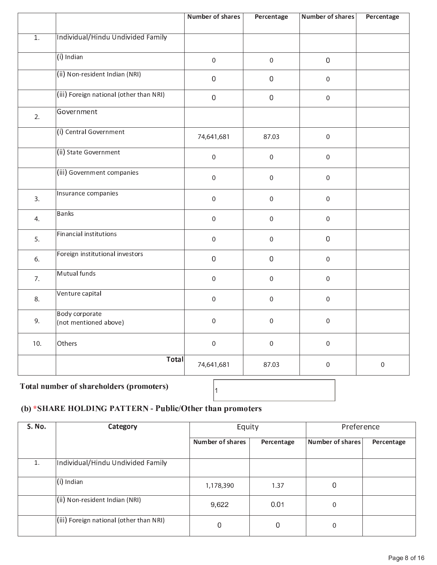|                  |                                                | <b>Number of shares</b> | Percentage       | <b>Number of shares</b> | Percentage  |
|------------------|------------------------------------------------|-------------------------|------------------|-------------------------|-------------|
| $\overline{1}$ . | Individual/Hindu Undivided Family              |                         |                  |                         |             |
|                  | $(i)$ Indian                                   | $\mathbf 0$             | $\mathbf 0$      | $\boldsymbol{0}$        |             |
|                  | (ii) Non-resident Indian (NRI)                 | $\boldsymbol{0}$        | $\mathbf 0$      | $\mathbf 0$             |             |
|                  | (iii) Foreign national (other than NRI)        | $\mathbf 0$             | $\,0\,$          | $\mathbf 0$             |             |
| 2.               | Government                                     |                         |                  |                         |             |
|                  | (i) Central Government                         | 74,641,681              | 87.03            | $\mathbf 0$             |             |
|                  | (ii) State Government                          | $\mathbf 0$             | $\mathbf 0$      | $\mathbf 0$             |             |
|                  | (iii) Government companies                     | $\pmb{0}$               | $\pmb{0}$        | $\mathbf 0$             |             |
| 3.               | Insurance companies                            | $\mathbf 0$             | $\boldsymbol{0}$ | $\mathbf 0$             |             |
| 4.               | <b>Banks</b>                                   | $\pmb{0}$               | $\boldsymbol{0}$ | $\mathsf{O}\xspace$     |             |
| 5.               | <b>Financial institutions</b>                  | $\pmb{0}$               | $\boldsymbol{0}$ | $\boldsymbol{0}$        |             |
| 6.               | Foreign institutional investors                | $\mathbf 0$             | $\,0\,$          | $\mathsf{O}\xspace$     |             |
| 7.               | Mutual funds                                   | $\pmb{0}$               | $\boldsymbol{0}$ | $\mathsf{O}\xspace$     |             |
| 8.               | Venture capital                                | $\mathbf 0$             | $\mathbf 0$      | $\mathbf 0$             |             |
| 9.               | <b>Body corporate</b><br>(not mentioned above) | $\mathbf 0$             | $\mathbf 0$      | $\mathbf 0$             |             |
| 10.              | Others                                         | $\mathbf 0$             | $\mathbf 0$      | $\mathbf 0$             |             |
|                  | <b>Total</b>                                   | 74,641,681              | 87.03            | $\mathbf 0$             | $\mathbf 0$ |
|                  |                                                | $\blacksquare$          |                  |                         |             |

### Total number of shareholders (promoters)

### (b) \*SHARE HOLDING PATTERN - Public/Other than promoters

| S. No. | Category                                | Equity                  |            | Preference       |            |
|--------|-----------------------------------------|-------------------------|------------|------------------|------------|
|        |                                         | <b>Number of shares</b> | Percentage | Number of shares | Percentage |
| 1.     | Individual/Hindu Undivided Family       |                         |            |                  |            |
|        | (i) Indian                              | 1,178,390               | 1.37       | $\Omega$         |            |
|        | (ii) Non-resident Indian (NRI)          | 9,622                   | 0.01       | 0                |            |
|        | (iii) Foreign national (other than NRI) | 0                       | 0          | 0                |            |

 $\vert_1$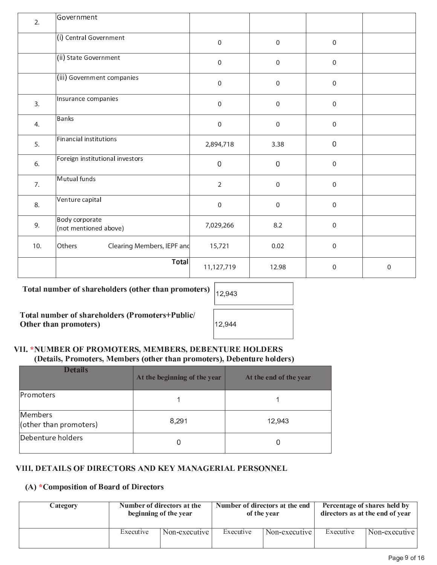| 2.  | Government                              |                  |                  |                  |   |
|-----|-----------------------------------------|------------------|------------------|------------------|---|
|     | (i) Central Government                  | $\boldsymbol{0}$ | $\mathbf 0$      | $\boldsymbol{0}$ |   |
|     | (ii) State Government                   | $\boldsymbol{0}$ | $\boldsymbol{0}$ | $\boldsymbol{0}$ |   |
|     | (iii) Government companies              | $\boldsymbol{0}$ | $\mathbf 0$      | $\boldsymbol{0}$ |   |
| 3.  | Insurance companies                     | $\boldsymbol{0}$ | $\mathbf 0$      | $\boldsymbol{0}$ |   |
| 4.  | <b>Banks</b>                            | $\boldsymbol{0}$ | $\mathbf 0$      | $\boldsymbol{0}$ |   |
| 5.  | Financial institutions                  | 2,894,718        | 3.38             | $\boldsymbol{0}$ |   |
| 6.  | Foreign institutional investors         | $\mathbf 0$      | $\mathbf 0$      | $\boldsymbol{0}$ |   |
| 7.  | Mutual funds                            | $\overline{2}$   | $\mathbf 0$      | $\boldsymbol{0}$ |   |
| 8.  | Venture capital                         | $\boldsymbol{0}$ | $\mathbf 0$      | $\boldsymbol{0}$ |   |
| 9.  | Body corporate<br>(not mentioned above) | 7,029,266        | 8.2              | $\boldsymbol{0}$ |   |
| 10. | Others<br>Clearing Members, IEPF and    | 15,721           | 0.02             | $\boldsymbol{0}$ |   |
|     | <b>Total</b>                            | 11,127,719       | 12.98            | 0                | 0 |

Total number of shareholders (other than promoters)

Total number of shareholders (Promoters+Public/ Other than promoters)

| 12,943 |  |
|--------|--|
| 12,944 |  |

### VII. \*NUMBER OF PROMOTERS, MEMBERS, DEBENTURE HOLDERS (Details, Promoters, Members (other than promoters), Debenture holders)

| <b>Details</b>                    | At the beginning of the year | At the end of the year |
|-----------------------------------|------------------------------|------------------------|
| Promoters                         |                              |                        |
| Members<br>(other than promoters) | 8,291                        | 12,943                 |
| Debenture holders                 | 0                            |                        |

### VIII. DETAILS OF DIRECTORS AND KEY MANAGERIAL PERSONNEL

### (A) \*Composition of Board of Directors

| Category | Number of directors at the<br>beginning of the year |               |           | Number of directors at the end<br>of the year | Percentage of shares held by<br>directors as at the end of year |               |
|----------|-----------------------------------------------------|---------------|-----------|-----------------------------------------------|-----------------------------------------------------------------|---------------|
|          | Executive                                           | Non-executive | Executive | Non-executive                                 | Executive                                                       | Non-executive |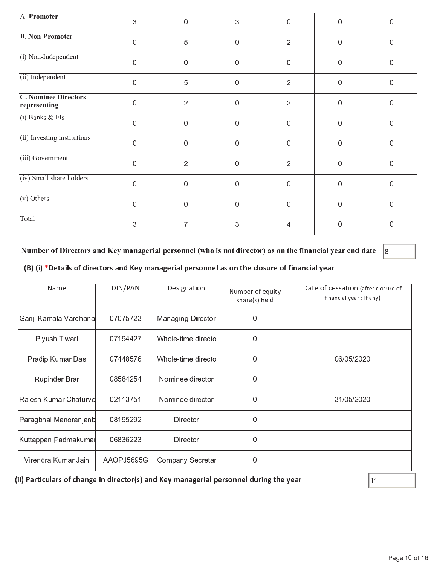| A. Promoter                                 | 3                | $\mathbf 0$    | 3              | $\mathbf 0$      | 0           | $\mathbf 0$      |
|---------------------------------------------|------------------|----------------|----------------|------------------|-------------|------------------|
| <b>B. Non-Promoter</b>                      | $\boldsymbol{0}$ | $\overline{5}$ | $\mathbf 0$    | $\overline{2}$   | $\mathbf 0$ | $\boldsymbol{0}$ |
| $(i)$ Non-Independent                       | $\overline{0}$   | $\mathbf{0}$   | $\mathbf{0}$   | $\mathbf 0$      | $\mathbf 0$ | $\overline{0}$   |
| (ii) Independent                            | $\mathbf 0$      | $\sqrt{5}$     | $\overline{0}$ | $\overline{2}$   | $\mathbf 0$ | $\mathbf 0$      |
| <b>C. Nominee Directors</b><br>representing | 0                | $\overline{2}$ | $\mathbf 0$    | $\overline{2}$   | $\mathbf 0$ | $\mathbf 0$      |
| $(i)$ Banks & FIs                           | $\mathbf 0$      | $\mathbf 0$    | $\mathbf 0$    | $\mathbf 0$      | $\mathbf 0$ | $\mathbf 0$      |
| (ii) Investing institutions                 | $\mathbf 0$      | $\mathbf 0$    | $\mathbf 0$    | $\mathbf 0$      | $\mathbf 0$ | $\boldsymbol{0}$ |
| (iii) Government                            | $\mathbf{0}$     | $\overline{2}$ | $\overline{0}$ | $\overline{2}$   | $\mathbf 0$ | $\mathbf 0$      |
| (iv) Small share holders                    | $\mathbf 0$      | $\mathbf 0$    | $\mathbf 0$    | $\boldsymbol{0}$ | $\mathbf 0$ | $\mathbf 0$      |
| $\overline{(v)$ Others                      | 0                | $\mathbf 0$    | 0              | $\mathbf 0$      | $\mathbf 0$ | $\mathbf 0$      |
| Total                                       | 3                | 7              | 3              | 4                | $\mathbf 0$ | $\mathbf 0$      |

Number of Directors and Key managerial personnel (who is not director) as on the financial year end date  $|8|$ 

### (B) (i) \*Details of directors and Key managerial personnel as on the closure of financial year

| Name                  | DIN/PAN    | Designation         | Number of equity<br>share(s) held | Date of cessation (after closure of<br>financial year: If any) |
|-----------------------|------------|---------------------|-----------------------------------|----------------------------------------------------------------|
| Ganji Kamala Vardhana | 07075723   | Managing Director   | 0                                 |                                                                |
| Piyush Tiwari         | 07194427   | Whole-time directol | 0                                 |                                                                |
| Pradip Kumar Das      | 07448576   | Whole-time directol | $\Omega$                          | 06/05/2020                                                     |
| <b>Rupinder Brar</b>  | 08584254   | Nominee director    | 0                                 |                                                                |
| Rajesh Kumar Chaturve | 02113751   | Nominee director    | 0                                 | 31/05/2020                                                     |
| Paragbhai Manoranjanb | 08195292   | Director            | 0                                 |                                                                |
| Kuttappan Padmakumal  | 06836223   | Director            | 0                                 |                                                                |
| Virendra Kumar Jain   | AAOPJ5695G | Company Secretar    | 0                                 |                                                                |

(ii) Particulars of change in director(s) and Key managerial personnel during the year

 $\vert$ 11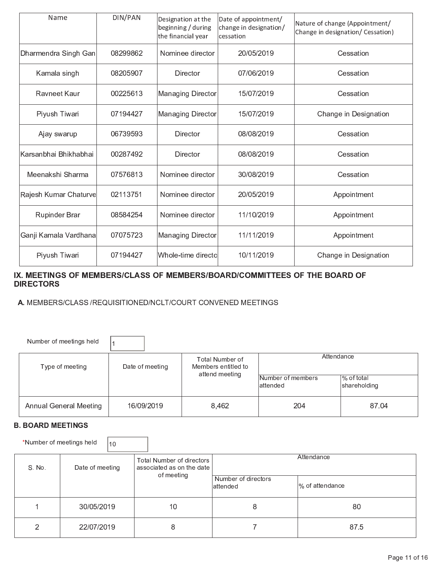| Name                   | DIN/PAN  | Designation at the<br>beginning / during<br>the financial year | Date of appointment/<br>change in designation/<br>cessation | Nature of change (Appointment/<br>Change in designation/ Cessation) |
|------------------------|----------|----------------------------------------------------------------|-------------------------------------------------------------|---------------------------------------------------------------------|
| Dharmendra Singh Gan   | 08299862 | Nominee director                                               | 20/05/2019                                                  | Cessation                                                           |
| Kamala singh           | 08205907 | Director                                                       | 07/06/2019                                                  | Cessation                                                           |
| Rayneet Kaur           | 00225613 | Managing Director                                              | 15/07/2019                                                  | Cessation                                                           |
| Piyush Tiwari          | 07194427 | Managing Director                                              | 15/07/2019                                                  | Change in Designation                                               |
| Ajay swarup            | 06739593 | Director                                                       | 08/08/2019                                                  | Cessation                                                           |
| lKarsanbhai Bhikhabhai | 00287492 | Director                                                       | 08/08/2019                                                  | Cessation                                                           |
| Meenakshi Sharma       | 07576813 | Nominee director                                               | 30/08/2019                                                  | Cessation                                                           |
| Rajesh Kumar Chaturve  | 02113751 | Nominee director                                               | 20/05/2019                                                  | Appointment                                                         |
| <b>Rupinder Brar</b>   | 08584254 | Nominee director                                               | 11/10/2019                                                  | Appointment                                                         |
| Ganji Kamala Vardhana  | 07075723 | Managing Director                                              | 11/11/2019                                                  | Appointment                                                         |
| Piyush Tiwari          | 07194427 | Whole-time directo                                             | 10/11/2019                                                  | Change in Designation                                               |

### \_ \_ \_ \_ \_ \_ \_ \_

### $\bf{5}$   $\bf{6}$   $\bf{6}$   $\bf{7}$  and  $\bf{8}$   $\bf{8}$   $\bf{8}$   $\bf{9}$  and  $\bf{9}$   $\bf{8}$   $\bf{9}$   $\bf{8}$   $\bf{9}$   $\bf{9}$   $\bf{9}$   $\bf{9}$   $\bf{9}$   $\bf{9}$   $\bf{9}$   $\bf{9}$   $\bf{9}$   $\bf{9}$   $\bf{9}$   $\bf{9}$   $\bf{9}$   $\bf{9}$   $\bf{9$

| Number of meetings held       |                 |                                        |                                |                            |  |
|-------------------------------|-----------------|----------------------------------------|--------------------------------|----------------------------|--|
| Type of meeting               | Date of meeting | Total Number of<br>Members entitled to | Attendance                     |                            |  |
|                               |                 | attend meeting                         | Number of members<br>lattended | % of total<br>shareholding |  |
| <b>Annual General Meeting</b> | 16/09/2019      | 8,462                                  | 204                            | 87.04                      |  |

### — — — — — — — — — — — — — —

 $\ddot{\phantom{a}}$  , and  $\ddot{\phantom{a}}$  and  $\ddot{\phantom{a}}$  or  $\ddot{\phantom{a}}$  . The only in  $\ddot{\phantom{a}}$  of  $\ddot{\phantom{a}}$  ,  $\ddot{\phantom{a}}$  ,  $\ddot{\phantom{a}}$  ,  $\ddot{\phantom{a}}$  ,  $\ddot{\phantom{a}}$  ,  $\ddot{\phantom{a}}$  ,  $\ddot{\phantom{a}}$  ,  $\ddot{\phantom{a}}$  ,  $\ddot{\phantom{a}}$  ,  $\ddot{\$ 

p <sup>È</sup>

| S.No. | Date of meeting | Total Number of directors<br>associated as on the date<br>of meeting | Attendance                       |                 |  |
|-------|-----------------|----------------------------------------------------------------------|----------------------------------|-----------------|--|
|       |                 |                                                                      | Number of directors<br>lattended | % of attendance |  |
|       | 30/05/2019      | 10                                                                   | 8                                | 80              |  |
| ົ     | 22/07/2019      |                                                                      |                                  | 875             |  |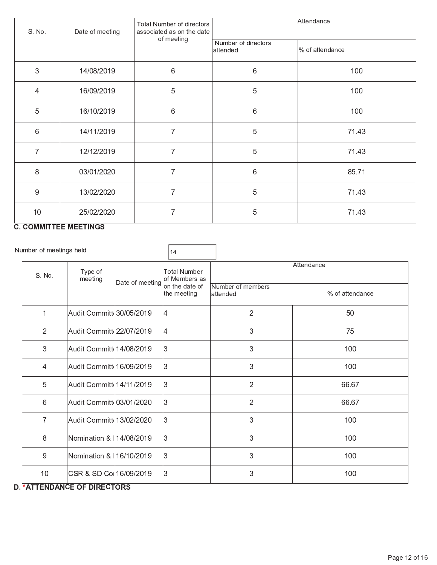| S. No.           | Date of meeting | Total Number of directors<br>associated as on the date                  | Attendance                      |                 |  |  |
|------------------|-----------------|-------------------------------------------------------------------------|---------------------------------|-----------------|--|--|
|                  |                 | of meeting<br>6<br>5<br>6<br>$\overline{7}$<br>7<br>$\overline{7}$<br>7 | Number of directors<br>attended | % of attendance |  |  |
| $\sqrt{3}$       | 14/08/2019      |                                                                         | $6\,$                           | 100             |  |  |
| $\overline{4}$   | 16/09/2019      |                                                                         | 5                               | 100             |  |  |
| 5                | 16/10/2019      |                                                                         | 6                               | 100             |  |  |
| $\,6\,$          | 14/11/2019      |                                                                         | 5                               | 7143            |  |  |
| $\overline{7}$   | 12/12/2019      |                                                                         | 5                               | 7143            |  |  |
| 8                | 03/01/2020      |                                                                         | 6                               | 85.71           |  |  |
| $\boldsymbol{9}$ | 13/02/2020      |                                                                         | 5                               | 71 43           |  |  |
| 10               | 25/02/2020      | 7                                                                       | 5                               | 71.43           |  |  |

#### **C. COMMITTEE MEETINGS**

Number of meetings held

 $14$ Attendance **Total Number** Type of S. No. meeting of Members as Date of meeting on the date of Number of members % of attendance the meeting attended  $\mathbf{1}$ Audit Committ 30/05/2019 |4  $\overline{c}$ 50  $\overline{2}$ l4 Audit Committ 22/07/2019  $\mathbf{3}$ 75  $\sqrt{3}$ Audit Committe 14/08/2019 3  $\mathbf{3}$ 100  $\overline{4}$ 3  $\sqrt{3}$ Audit Committe 16/09/2019 100  $\overline{5}$ 3 Audit Committe 14/11/2019  $\overline{2}$ 66.67 3  $6\phantom{1}6$ Audit Committe 03/01/2020  $\overline{2}$ 66.67  $\overline{7}$ Audit Committ 13/02/2020 3  $\sqrt{3}$ 100 3  $\,8\,$  $\mathbf{3}$ Nomination & 14/08/2019 100 3  $\mathbf{3}$  $\overline{9}$ Nomination & 16/10/2019 100 CSR & SD Col 16/09/2019 3  $10$  $\mathbf{3}$ 100

### **D. \*ATTENDANCE OF DIRECTORS**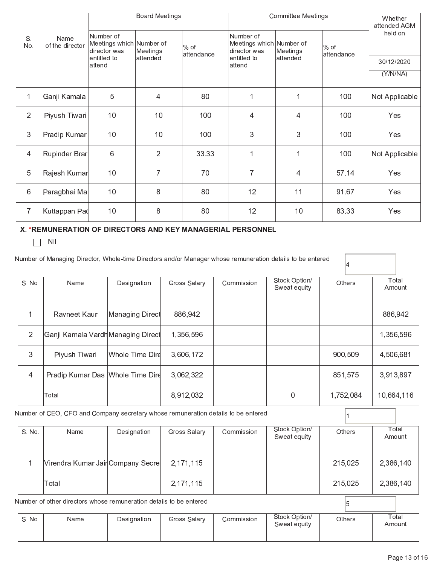|                |                         | <b>Board Meetings</b>                                 |                 |                      | <b>Committee Meetings</b>                             |          |                      | Whether<br>attended AGM |  |
|----------------|-------------------------|-------------------------------------------------------|-----------------|----------------------|-------------------------------------------------------|----------|----------------------|-------------------------|--|
| S.<br>No.      | Name<br>of the director | Number of<br>Meetings which Number of<br>director was | Meetings        | $%$ of<br>attendance | Number of<br>Meetings which Number of<br>director was | Meetings | $%$ of<br>attendance | held on                 |  |
|                |                         | lentitled to<br>lattend                               | attended        |                      | lentitled to<br>lattend                               | attended |                      | 30/12/2020              |  |
|                |                         |                                                       |                 |                      |                                                       |          |                      | (Y/N/NA)                |  |
| $\overline{1}$ | Ganji Kamala            | 5                                                     | $\overline{4}$  | 80                   | 1                                                     | 1        | 100                  | Not Applicable          |  |
| $\overline{2}$ | Piyush Tiwari           | 10                                                    | 10 <sup>°</sup> | 100                  | $\overline{4}$                                        | 4        | 100                  | Yes                     |  |
| 3              | Pradip Kumar            | 10                                                    | 10 <sup>°</sup> | 100                  | 3                                                     | 3        | 100                  | Yes                     |  |
| 4              | Rupinder Brar           | 6                                                     | $\overline{2}$  | 33.33                | 1                                                     | 1        | 100                  | Not Applicable          |  |
| 5              | Rajesh Kumar            | 10                                                    | $\overline{7}$  | 70                   | $\overline{7}$                                        | 4        | 57.14                | Yes                     |  |
| $\,6$          | Paragbhai Ma            | 10                                                    | 8               | 80                   | 12                                                    | 11       | 91.67                | Yes                     |  |
| $\overline{7}$ | ∣Kuttappan Paվ          | 10                                                    | 8               | 80                   | 12                                                    | 10       | 83.33                | Yes                     |  |

## X. \*REMUNERATION OF DIRECTORS AND KEY MANAGERIAL PERSONNEL

 $\Box$  Nil

|                | Number of Managing Director, Whole-time Directors and/or Manager whose remuneration details to be entered |                  |              |            |                               |         |           |                 |  |
|----------------|-----------------------------------------------------------------------------------------------------------|------------------|--------------|------------|-------------------------------|---------|-----------|-----------------|--|
| S. No.         | Name                                                                                                      | Designation      | Gross Salary | Commission | Stock Option/<br>Sweat equity |         | Others    | Total<br>Amount |  |
|                | Ravneet Kaur                                                                                              | ∣Managing Direcl | 886,942      |            |                               |         |           | 886,942         |  |
| $\overline{2}$ | Ganji Kamala Vardh Managing Direct                                                                        |                  | 1,356,596    |            |                               |         |           | 1,356,596       |  |
| 3              | Piyush Tiwari                                                                                             | Whole Time Dird  | 3,606,172    |            |                               |         | 900,509   | 4,506,681       |  |
| 4              | Pradip Kumar Das   Whole Time Dire                                                                        |                  | 3,062,322    |            |                               | 851,575 |           | 3,913,897       |  |
|                | Total                                                                                                     |                  | 8,912,032    |            | 0                             |         | 1,752,084 | 10,664,116      |  |
|                | Number of CEO, CFO and Company secretary whose remuneration details to be entered                         |                  |              |            |                               |         |           |                 |  |
| S. No.         | Name                                                                                                      | Designation      | Gross Salary | Commission | Stock Option/<br>Sweat equity | Others  |           | Total<br>Amount |  |
| 1              | Virendra Kumar JailCompany Secre                                                                          |                  | 2,171,115    |            |                               | 215,025 |           | 2,386,140       |  |
|                | Total                                                                                                     |                  | 2,171,115    |            |                               | 215,025 |           | 2,386,140       |  |
|                | Number of other directors whose remuneration details to be entered                                        |                  |              |            |                               |         | 15        |                 |  |

| S. No. | Name | Designation | Gross Salary | Commission | Stock Option/<br>Sweat equity | Others | Total<br>Amount |
|--------|------|-------------|--------------|------------|-------------------------------|--------|-----------------|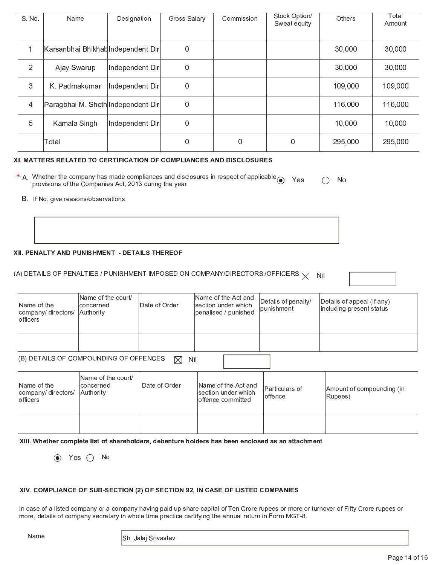| S. No.               | Name                               | Designation     | Gross Salary | Commission | Stock Option/<br>Sweat equity | <b>Others</b> | Total<br>Amount |
|----------------------|------------------------------------|-----------------|--------------|------------|-------------------------------|---------------|-----------------|
| $\blacktriangleleft$ | Karsanbhai Bhikhat Independent Dir |                 | 0            |            |                               | 30,000        | 30,000          |
| $\overline{2}$       | Ajay Swarup                        | Independent Dir | $\mathbf 0$  |            |                               | 30,000        | 30,000          |
| 3                    | K. Padmakumar                      | Independent Dir | $\mathbf 0$  |            |                               | 109,000       | 109,000         |
| $\overline{4}$       | Paragbhai M. Sheth Independent Dir |                 | $\mathbf 0$  |            |                               | 116,000       | 116,000         |
| 5                    | Kamala Singh                       | Independent Dir | $\mathbf 0$  |            |                               | 10,000        | 10,000          |
|                      | Total                              |                 | 0            | 0          | 0                             | 295,000       | 295,000         |

#### XI. MATTERS RELATED TO CERTIFICATION OF COMPLIANCES AND DISCLOSURES

| * A. Whether the company has made compliances and disclosures in respect of applicable $\odot$ Yes | $\bigcirc$ No |  |
|----------------------------------------------------------------------------------------------------|---------------|--|
| provisions of the Companies Act, 2013 during the year                                              |               |  |

B. If No, give reasons/observations

#### XII. PENALTY AND PUNISHMENT - DETAILS THEREOF

#### (A) DETAILS OF PENALTIES / PUNISHMENT IMPOSED ON COMPANY/DIRECTORS /OFFICERS  $\boxtimes$ **Nil**

| Name of the<br>company/ directors/ Authority<br>lofficers | Name of the court/<br>Iconcerned | <b>IDate of Order</b> | Name of the Act and<br>section under which<br>penalised / punished | Details of penalty/<br> punishment | Details of appeal (if any)<br>including present status |
|-----------------------------------------------------------|----------------------------------|-----------------------|--------------------------------------------------------------------|------------------------------------|--------------------------------------------------------|
|                                                           |                                  |                       |                                                                    |                                    |                                                        |

#### (B) DETAILS OF COMPOUNDING OF OFFENCES  $\boxtimes$  Nil

| Name of the<br>company/directors/<br>lofficers | Name of the court/<br>lconcerned<br>Authority | IDate of Order | Name of the Act and<br>section under which<br>offence committed | Particulars of<br>loffence | Amount of compounding (in<br>Rupees) |
|------------------------------------------------|-----------------------------------------------|----------------|-----------------------------------------------------------------|----------------------------|--------------------------------------|
|                                                |                                               |                |                                                                 |                            |                                      |

XIII. Whether complete list of shareholders, debenture holders has been enclosed as an attachment

 $\odot$  Yes  $\odot$  No

#### XIV. COMPLIANCE OF SUB-SECTION (2) OF SECTION 92, IN CASE OF LISTED COMPANIES

In case of a listed company or a company having paid up share capital of Ten Crore rupees or more or turnover of Fifty Crore rupees or more, details of company secretary in whole time practice certifying the annual return in Form MGT-8.

Name

Sh. Jalaj Srivastav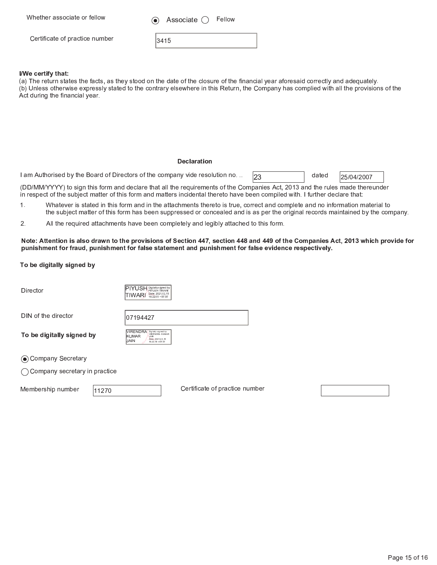Whether associate or fellow

Associate  $\bigcirc$ Fellow

Certificate of practice number

| -<br>- |  |  |
|--------|--|--|
|--------|--|--|

#### I/We certify that:

(a) The return states the facts, as they stood on the date of the closure of the financial year aforesaid correctly and adequately. (b) Unless otherwise expressly stated to the contrary elsewhere in this Return, the Company has complied with all the provisions of the Act during the financial year.

#### **Declaration**

I am Authorised by the Board of Directors of the company vide resolution no...

| dated | 25/04/2007 |
|-------|------------|

(DD/MM/YYYY) to sign this form and declare that all the requirements of the Companies Act, 2013 and the rules made thereunder in respect of the subject matter of this form and matters incidental thereto have been compiled with. I further declare that:

1. Whatever is stated in this form and in the attachments thereto is true, correct and complete and no information material to the subject matter of this form has been suppressed or concealed and is as per the original records maintained by the company.

23

 $2.$ All the required attachments have been completely and legibly attached to this form.

#### Note: Attention is also drawn to the provisions of Section 447, section 448 and 449 of the Companies Act, 2013 which provide for punishment for fraud, punishment for false statement and punishment for false evidence respectively.

#### To be digitally signed by

Director



07194427

DIN of the director

VIRENDRA Digitally signed by KIMAR JAIN<br>Date: 2021.02.15<br>16:22:18 +0530 **JAIN** 

⊙ Company Secretary

To be digitally signed by

◯ Company secretary in practice

Membership number

11270

Certificate of practice number